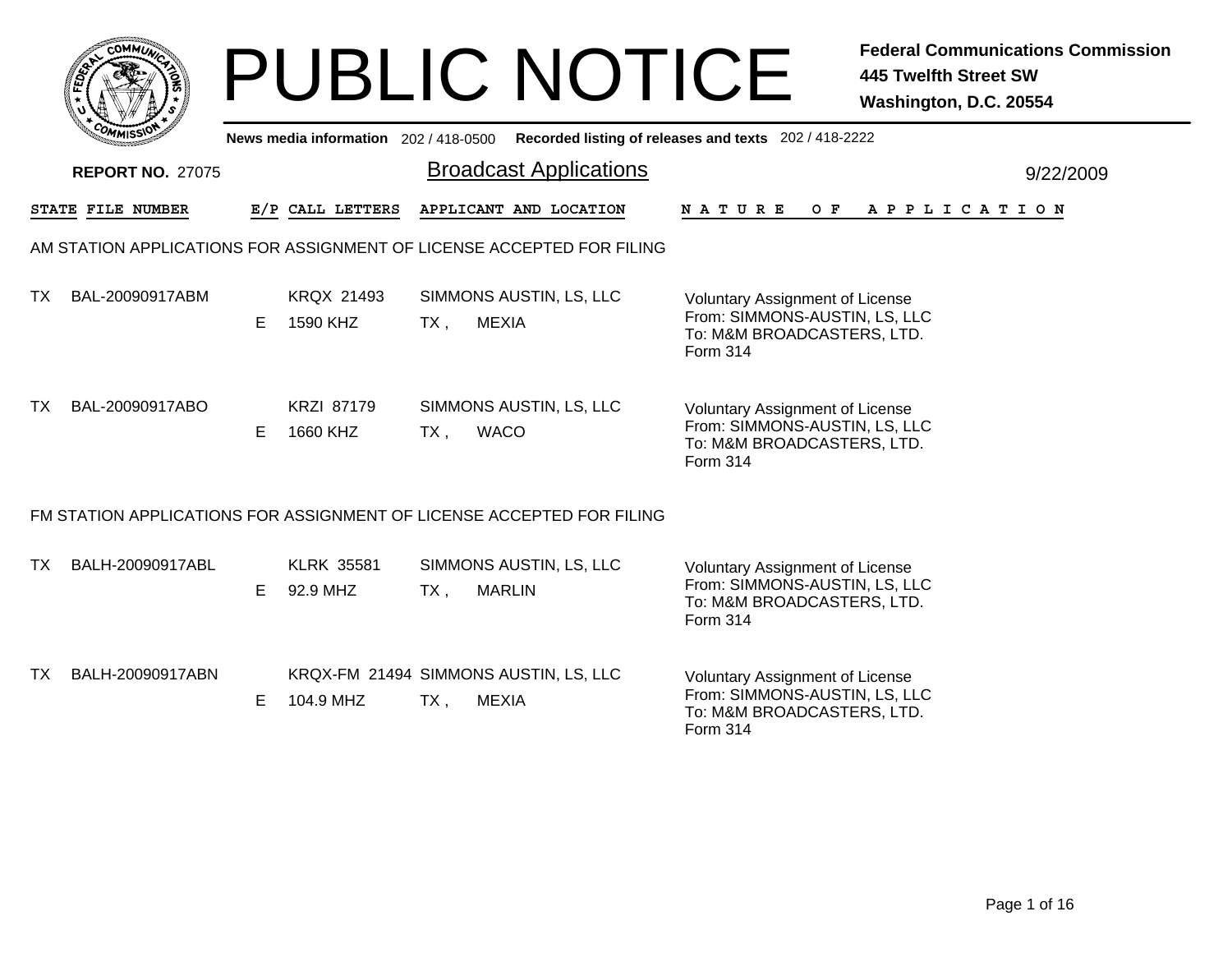|     | <b>COMMUT</b>           |                                                                                                |                               |        | <b>PUBLIC NOTICE</b>                                                  |                                                                                                                          | <b>445 Twelfth Street SW</b><br>Washington, D.C. 20554 | <b>Federal Communications Commission</b> |  |  |
|-----|-------------------------|------------------------------------------------------------------------------------------------|-------------------------------|--------|-----------------------------------------------------------------------|--------------------------------------------------------------------------------------------------------------------------|--------------------------------------------------------|------------------------------------------|--|--|
|     |                         | Recorded listing of releases and texts 202 / 418-2222<br>News media information 202 / 418-0500 |                               |        |                                                                       |                                                                                                                          |                                                        |                                          |  |  |
|     | <b>REPORT NO. 27075</b> |                                                                                                |                               |        | <b>Broadcast Applications</b>                                         |                                                                                                                          |                                                        | 9/22/2009                                |  |  |
|     | STATE FILE NUMBER       |                                                                                                | E/P CALL LETTERS              |        | APPLICANT AND LOCATION                                                | N A T U R E                                                                                                              | OF APPLICATION                                         |                                          |  |  |
|     |                         |                                                                                                |                               |        | AM STATION APPLICATIONS FOR ASSIGNMENT OF LICENSE ACCEPTED FOR FILING |                                                                                                                          |                                                        |                                          |  |  |
| TX. | BAL-20090917ABM         | E.                                                                                             | <b>KRQX 21493</b><br>1590 KHZ | $TX$ , | SIMMONS AUSTIN, LS, LLC<br><b>MEXIA</b>                               | <b>Voluntary Assignment of License</b><br>From: SIMMONS-AUSTIN, LS, LLC<br>To: M&M BROADCASTERS, LTD.<br><b>Form 314</b> |                                                        |                                          |  |  |
| TX. | BAL-20090917ABO         | E.                                                                                             | <b>KRZI 87179</b><br>1660 KHZ | $TX$ , | SIMMONS AUSTIN, LS, LLC<br><b>WACO</b>                                | <b>Voluntary Assignment of License</b><br>From: SIMMONS-AUSTIN, LS, LLC<br>To: M&M BROADCASTERS, LTD.<br>Form 314        |                                                        |                                          |  |  |
|     |                         |                                                                                                |                               |        | FM STATION APPLICATIONS FOR ASSIGNMENT OF LICENSE ACCEPTED FOR FILING |                                                                                                                          |                                                        |                                          |  |  |
| TX. | BALH-20090917ABL        | E                                                                                              | <b>KLRK 35581</b><br>92.9 MHZ | TX.    | SIMMONS AUSTIN, LS, LLC<br><b>MARLIN</b>                              | <b>Voluntary Assignment of License</b><br>From: SIMMONS-AUSTIN, LS, LLC<br>To: M&M BROADCASTERS, LTD.<br>Form 314        |                                                        |                                          |  |  |
| TX. | BALH-20090917ABN        | E.                                                                                             | 104.9 MHZ                     | $TX$ , | KRQX-FM 21494 SIMMONS AUSTIN, LS, LLC<br><b>MEXIA</b>                 | <b>Voluntary Assignment of License</b><br>From: SIMMONS-AUSTIN, LS, LLC<br>To: M&M BROADCASTERS, LTD.<br>Form 314        |                                                        |                                          |  |  |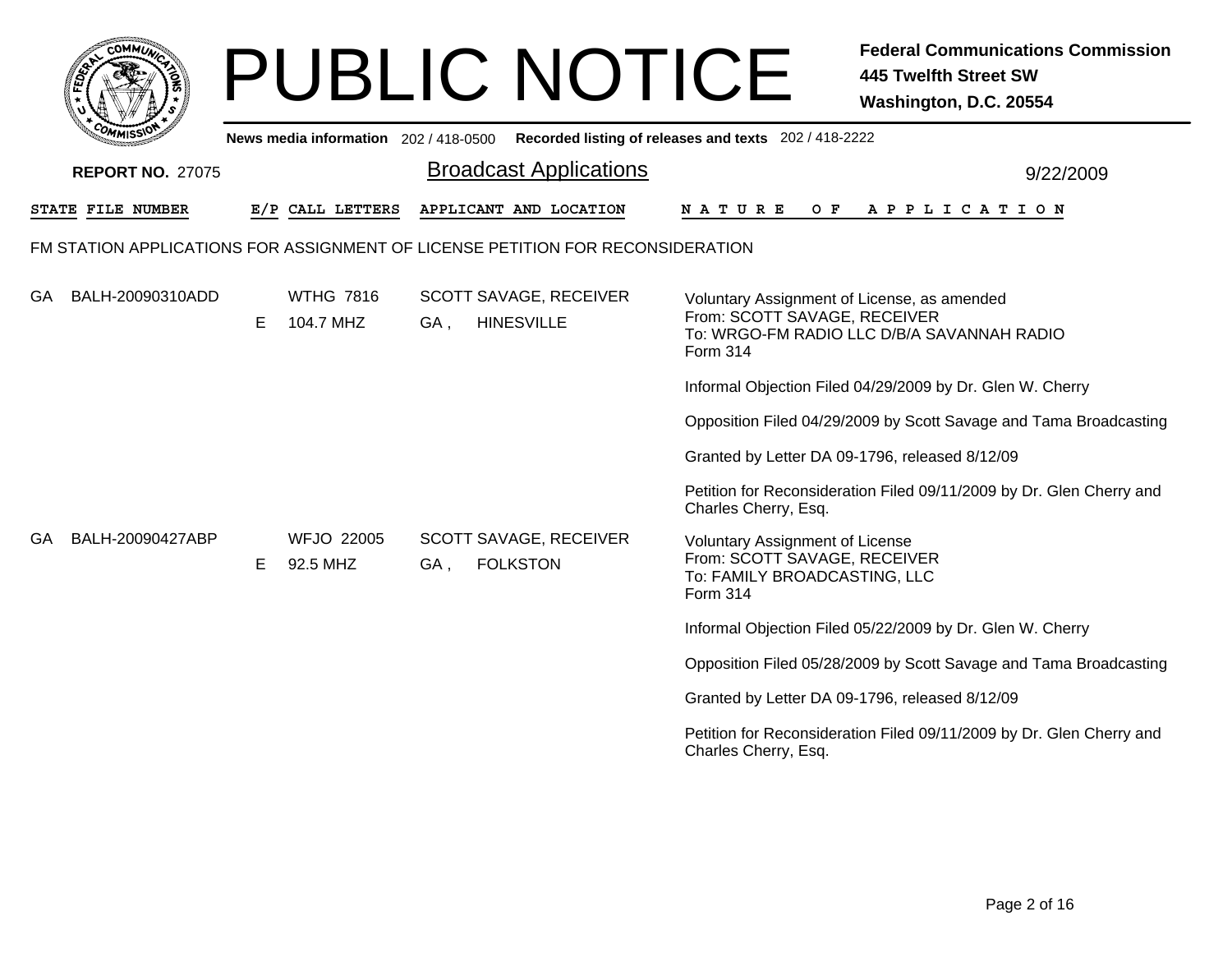| <b>COMMUT</b>                                                                  |                                       | <b>PUBLIC NOTICE</b>                                    | <b>Federal Communications Commission</b><br><b>445 Twelfth Street SW</b><br>Washington, D.C. 20554                                    |  |  |  |  |  |
|--------------------------------------------------------------------------------|---------------------------------------|---------------------------------------------------------|---------------------------------------------------------------------------------------------------------------------------------------|--|--|--|--|--|
|                                                                                | News media information 202 / 418-0500 |                                                         | Recorded listing of releases and texts 202 / 418-2222                                                                                 |  |  |  |  |  |
| <b>REPORT NO. 27075</b>                                                        |                                       | <b>Broadcast Applications</b>                           | 9/22/2009                                                                                                                             |  |  |  |  |  |
| <b>STATE FILE NUMBER</b>                                                       | E/P CALL LETTERS                      | APPLICANT AND LOCATION                                  | N A T U R E<br>O F<br>A P P L I C A T I O N                                                                                           |  |  |  |  |  |
| FM STATION APPLICATIONS FOR ASSIGNMENT OF LICENSE PETITION FOR RECONSIDERATION |                                       |                                                         |                                                                                                                                       |  |  |  |  |  |
| GA<br>BALH-20090310ADD                                                         | <b>WTHG 7816</b><br>104.7 MHZ<br>E    | SCOTT SAVAGE, RECEIVER<br><b>HINESVILLE</b><br>GA,      | Voluntary Assignment of License, as amended<br>From: SCOTT SAVAGE, RECEIVER<br>To: WRGO-FM RADIO LLC D/B/A SAVANNAH RADIO<br>Form 314 |  |  |  |  |  |
|                                                                                |                                       |                                                         | Informal Objection Filed 04/29/2009 by Dr. Glen W. Cherry                                                                             |  |  |  |  |  |
|                                                                                |                                       |                                                         | Opposition Filed 04/29/2009 by Scott Savage and Tama Broadcasting                                                                     |  |  |  |  |  |
|                                                                                |                                       |                                                         | Granted by Letter DA 09-1796, released 8/12/09                                                                                        |  |  |  |  |  |
|                                                                                |                                       |                                                         | Petition for Reconsideration Filed 09/11/2009 by Dr. Glen Cherry and<br>Charles Cherry, Esq.                                          |  |  |  |  |  |
| BALH-20090427ABP<br>GA                                                         | <b>WFJO 22005</b><br>92.5 MHZ<br>Е    | <b>SCOTT SAVAGE, RECEIVER</b><br><b>FOLKSTON</b><br>GA, | <b>Voluntary Assignment of License</b><br>From: SCOTT SAVAGE, RECEIVER<br>To: FAMILY BROADCASTING, LLC<br>Form 314                    |  |  |  |  |  |
|                                                                                |                                       |                                                         | Informal Objection Filed 05/22/2009 by Dr. Glen W. Cherry                                                                             |  |  |  |  |  |
|                                                                                |                                       |                                                         | Opposition Filed 05/28/2009 by Scott Savage and Tama Broadcasting                                                                     |  |  |  |  |  |
|                                                                                |                                       |                                                         | Granted by Letter DA 09-1796, released 8/12/09                                                                                        |  |  |  |  |  |
|                                                                                |                                       |                                                         | Petition for Reconsideration Filed 09/11/2009 by Dr. Glen Cherry and<br>Charles Cherry, Esq.                                          |  |  |  |  |  |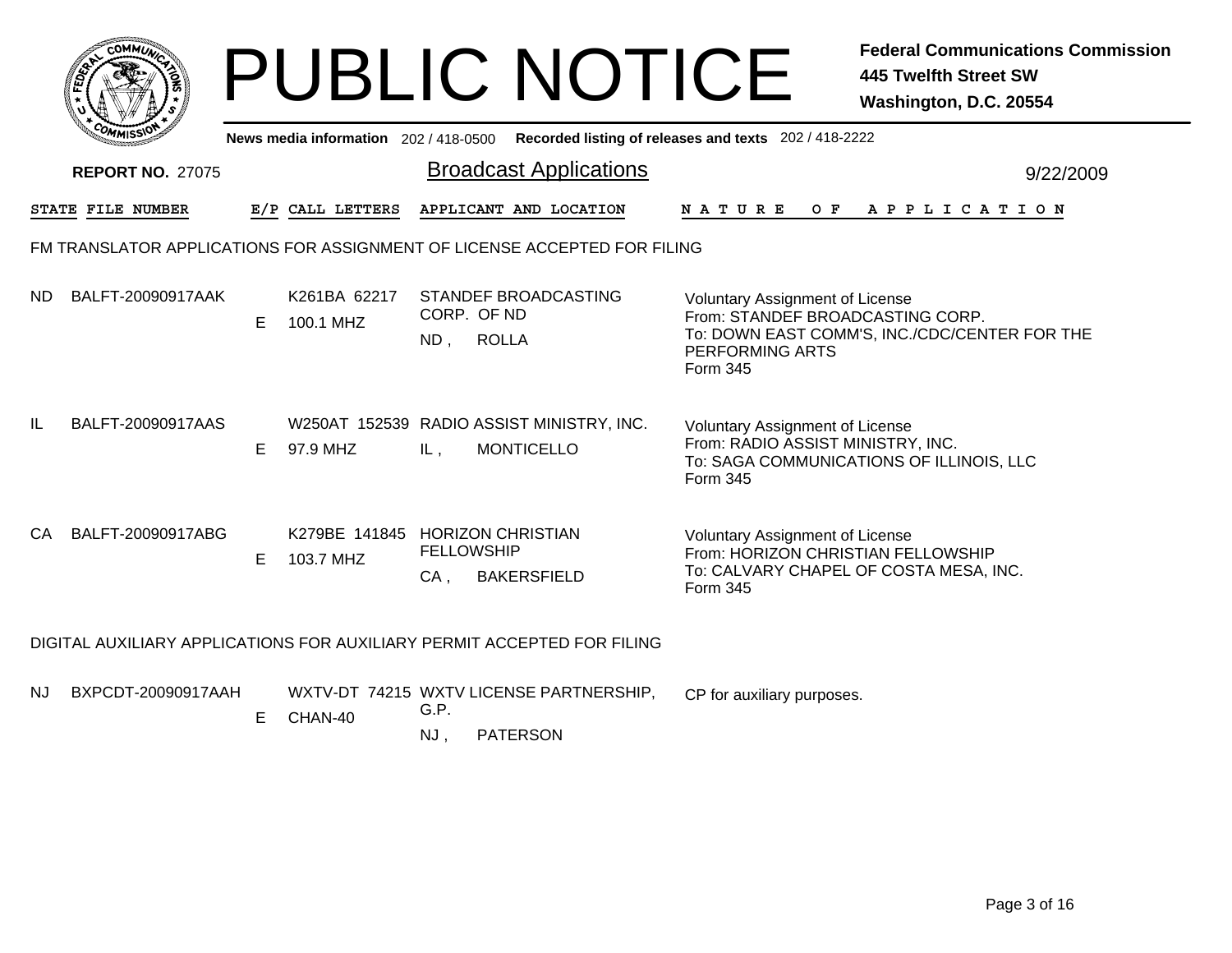|    | <b>COMMUT</b>           |    |                                              |                          | <b>PUBLIC NOTICE</b>                                                                        |                                                                                                                                    | <b>Federal Communications Commission</b><br><b>445 Twelfth Street SW</b><br>Washington, D.C. 20554 |  |
|----|-------------------------|----|----------------------------------------------|--------------------------|---------------------------------------------------------------------------------------------|------------------------------------------------------------------------------------------------------------------------------------|----------------------------------------------------------------------------------------------------|--|
|    |                         |    |                                              |                          | News media information 202 / 418-0500 Recorded listing of releases and texts 202 / 418-2222 |                                                                                                                                    |                                                                                                    |  |
|    | <b>REPORT NO. 27075</b> |    |                                              |                          | <b>Broadcast Applications</b>                                                               |                                                                                                                                    | 9/22/2009                                                                                          |  |
|    | STATE FILE NUMBER       |    | E/P CALL LETTERS                             |                          | APPLICANT AND LOCATION                                                                      | N A T U R E                                                                                                                        | OF APPLICATION                                                                                     |  |
|    |                         |    |                                              |                          | FM TRANSLATOR APPLICATIONS FOR ASSIGNMENT OF LICENSE ACCEPTED FOR FILING                    |                                                                                                                                    |                                                                                                    |  |
| ND | BALFT-20090917AAK       | E  | K261BA 62217<br>100.1 MHZ                    | CORP. OF ND<br>$ND$ ,    | STANDEF BROADCASTING<br><b>ROLLA</b>                                                        | Voluntary Assignment of License<br>From: STANDEF BROADCASTING CORP.<br>PERFORMING ARTS<br><b>Form 345</b>                          | To: DOWN EAST COMM'S, INC./CDC/CENTER FOR THE                                                      |  |
| IL | BALFT-20090917AAS       | E. | 97.9 MHZ                                     | IL,                      | W250AT 152539 RADIO ASSIST MINISTRY, INC.<br><b>MONTICELLO</b>                              | <b>Voluntary Assignment of License</b><br>From: RADIO ASSIST MINISTRY, INC.<br>Form 345                                            | To: SAGA COMMUNICATIONS OF ILLINOIS, LLC                                                           |  |
| CA | BALFT-20090917ABG       | E. | K279BE 141845 HORIZON CHRISTIAN<br>103.7 MHZ | <b>FELLOWSHIP</b><br>CA, | <b>BAKERSFIELD</b>                                                                          | <b>Voluntary Assignment of License</b><br>From: HORIZON CHRISTIAN FELLOWSHIP<br>To: CALVARY CHAPEL OF COSTA MESA, INC.<br>Form 345 |                                                                                                    |  |
|    |                         |    |                                              |                          | DIGITAL AUXILIARY APPLICATIONS FOR AUXILIARY PERMIT ACCEPTED FOR FILING                     |                                                                                                                                    |                                                                                                    |  |
| NJ | BXPCDT-20090917AAH      | E. | CHAN-40                                      | G.P.<br>NJ.              | WXTV-DT 74215 WXTV LICENSE PARTNERSHIP,<br><b>PATERSON</b>                                  | CP for auxiliary purposes.                                                                                                         |                                                                                                    |  |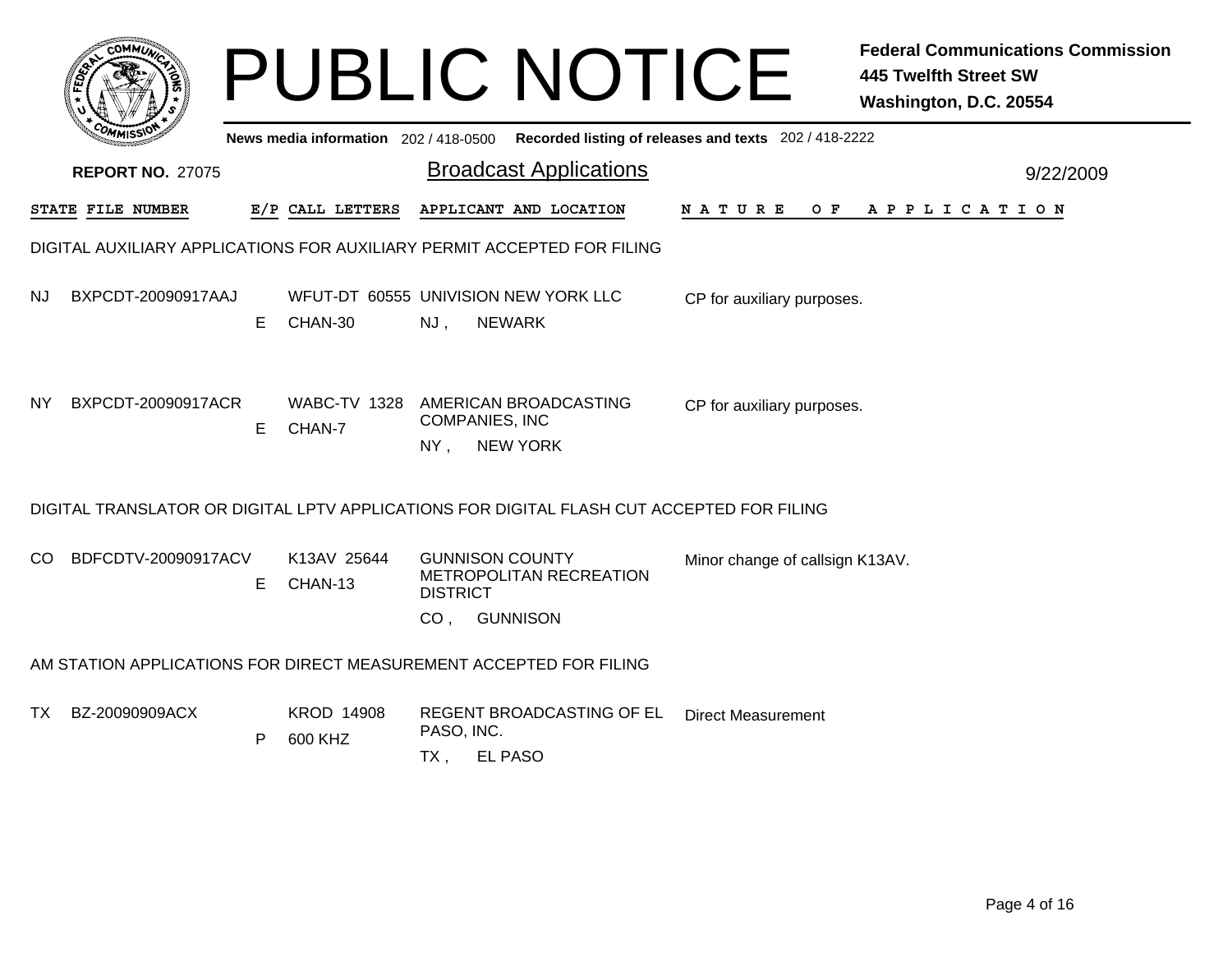|     |                         |    |                                       | <b>PUBLIC NOTICE</b><br><b>445 Twelfth Street SW</b><br>Washington, D.C. 20554                            | <b>Federal Communications Commission</b> |
|-----|-------------------------|----|---------------------------------------|-----------------------------------------------------------------------------------------------------------|------------------------------------------|
|     |                         |    | News media information 202 / 418-0500 | Recorded listing of releases and texts 202 / 418-2222                                                     |                                          |
|     | <b>REPORT NO. 27075</b> |    |                                       | <b>Broadcast Applications</b>                                                                             | 9/22/2009                                |
|     | STATE FILE NUMBER       |    | E/P CALL LETTERS                      | APPLICANT AND LOCATION<br>N A T U R E<br>O F<br>A P P L I C A T I O N                                     |                                          |
|     |                         |    |                                       | DIGITAL AUXILIARY APPLICATIONS FOR AUXILIARY PERMIT ACCEPTED FOR FILING                                   |                                          |
| NJ  | BXPCDT-20090917AAJ      | Е  | CHAN-30                               | WFUT-DT 60555 UNIVISION NEW YORK LLC<br>CP for auxiliary purposes.<br>NJ,<br><b>NEWARK</b>                |                                          |
| NY. | BXPCDT-20090917ACR      | E. | <b>WABC-TV 1328</b><br>CHAN-7         | AMERICAN BROADCASTING<br>CP for auxiliary purposes.<br><b>COMPANIES, INC</b><br>$NY$ ,<br><b>NEW YORK</b> |                                          |
|     |                         |    |                                       | DIGITAL TRANSLATOR OR DIGITAL LPTV APPLICATIONS FOR DIGITAL FLASH CUT ACCEPTED FOR FILING                 |                                          |
| CO  | BDFCDTV-20090917ACV     | E. | K13AV 25644<br>CHAN-13                | <b>GUNNISON COUNTY</b><br>Minor change of callsign K13AV.<br>METROPOLITAN RECREATION<br><b>DISTRICT</b>   |                                          |
|     |                         |    |                                       | <b>GUNNISON</b><br>CO <sub>1</sub>                                                                        |                                          |
|     |                         |    |                                       | AM STATION APPLICATIONS FOR DIRECT MEASUREMENT ACCEPTED FOR FILING                                        |                                          |
|     | TX BZ-20090909ACX       |    | <b>KROD 14908</b>                     | <b>REGENT BROADCASTING OF EL</b><br><b>Direct Measurement</b>                                             |                                          |

- PASO, INC. P 600 KHZ
	- TX , EL PASO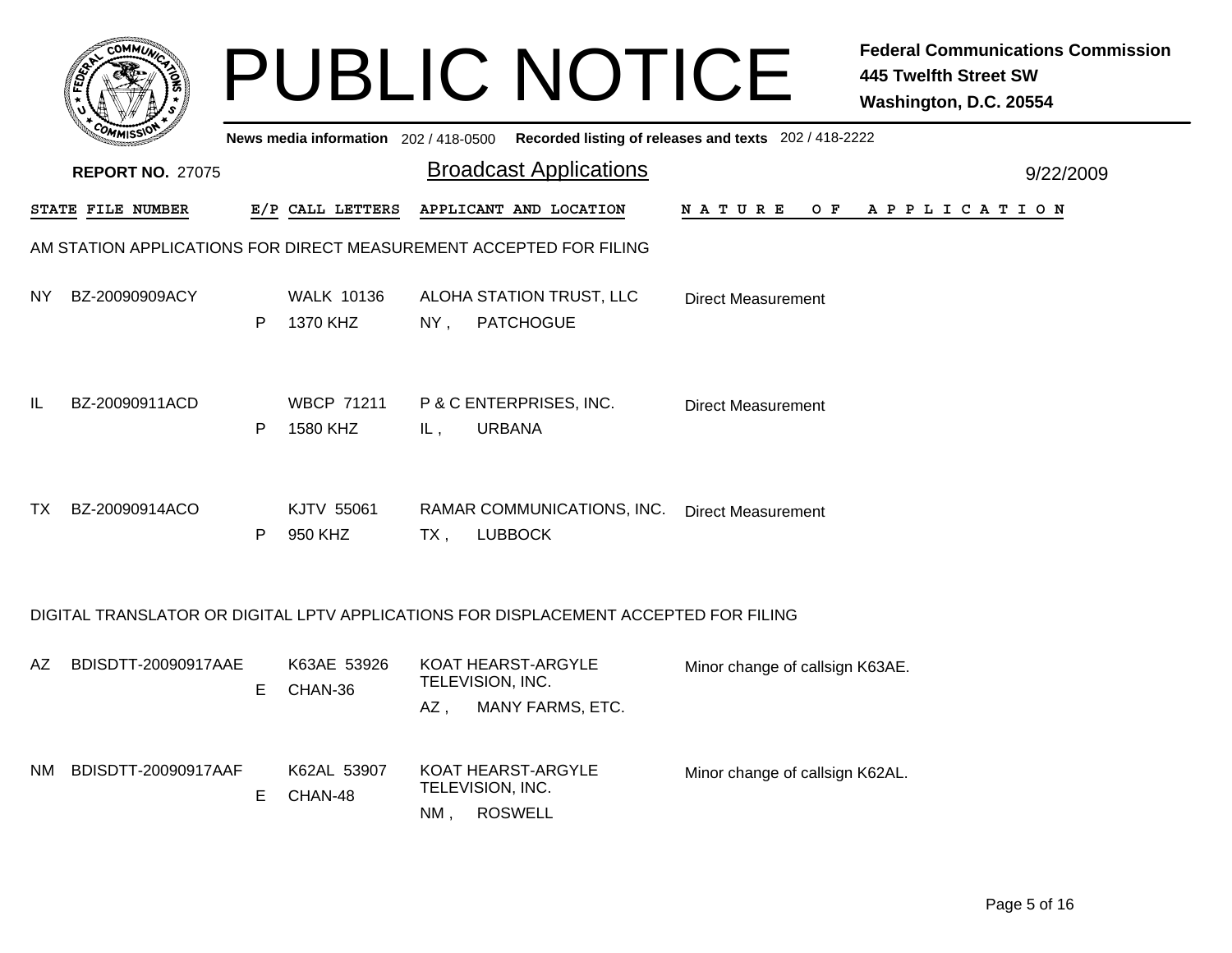|     |                         |    |                                       |        | <b>PUBLIC NOTICE</b>                                                                 |                                                       | <b>Federal Communications Commission</b><br><b>445 Twelfth Street SW</b><br>Washington, D.C. 20554 |
|-----|-------------------------|----|---------------------------------------|--------|--------------------------------------------------------------------------------------|-------------------------------------------------------|----------------------------------------------------------------------------------------------------|
|     |                         |    | News media information 202 / 418-0500 |        |                                                                                      | Recorded listing of releases and texts 202 / 418-2222 |                                                                                                    |
|     | <b>REPORT NO. 27075</b> |    |                                       |        | <b>Broadcast Applications</b>                                                        |                                                       | 9/22/2009                                                                                          |
|     | STATE FILE NUMBER       |    | E/P CALL LETTERS                      |        | APPLICANT AND LOCATION                                                               | N A T U R E                                           | OF APPLICATION                                                                                     |
|     |                         |    |                                       |        | AM STATION APPLICATIONS FOR DIRECT MEASUREMENT ACCEPTED FOR FILING                   |                                                       |                                                                                                    |
| NY. | BZ-20090909ACY          | P  | <b>WALK 10136</b><br>1370 KHZ         | $NY$ , | ALOHA STATION TRUST, LLC<br><b>PATCHOGUE</b>                                         | <b>Direct Measurement</b>                             |                                                                                                    |
| IL  | BZ-20090911ACD          | P  | <b>WBCP 71211</b><br>1580 KHZ         | IL,    | P & C ENTERPRISES, INC.<br><b>URBANA</b>                                             | <b>Direct Measurement</b>                             |                                                                                                    |
| TX. | BZ-20090914ACO          | P  | KJTV 55061<br>950 KHZ                 | TX,    | RAMAR COMMUNICATIONS, INC.<br><b>LUBBOCK</b>                                         | <b>Direct Measurement</b>                             |                                                                                                    |
|     |                         |    |                                       |        | DIGITAL TRANSLATOR OR DIGITAL LPTV APPLICATIONS FOR DISPLACEMENT ACCEPTED FOR FILING |                                                       |                                                                                                    |
| AΖ  | BDISDTT-20090917AAE     | E. | K63AE 53926<br>CHAN-36                | AZ,    | KOAT HEARST-ARGYLE<br>TELEVISION, INC.<br>MANY FARMS, ETC.                           | Minor change of callsign K63AE.                       |                                                                                                    |
| NM. | BDISDTT-20090917AAF     | E. | K62AL 53907<br>CHAN-48                | NM,    | KOAT HEARST-ARGYLE<br>TELEVISION, INC.<br><b>ROSWELL</b>                             | Minor change of callsign K62AL.                       |                                                                                                    |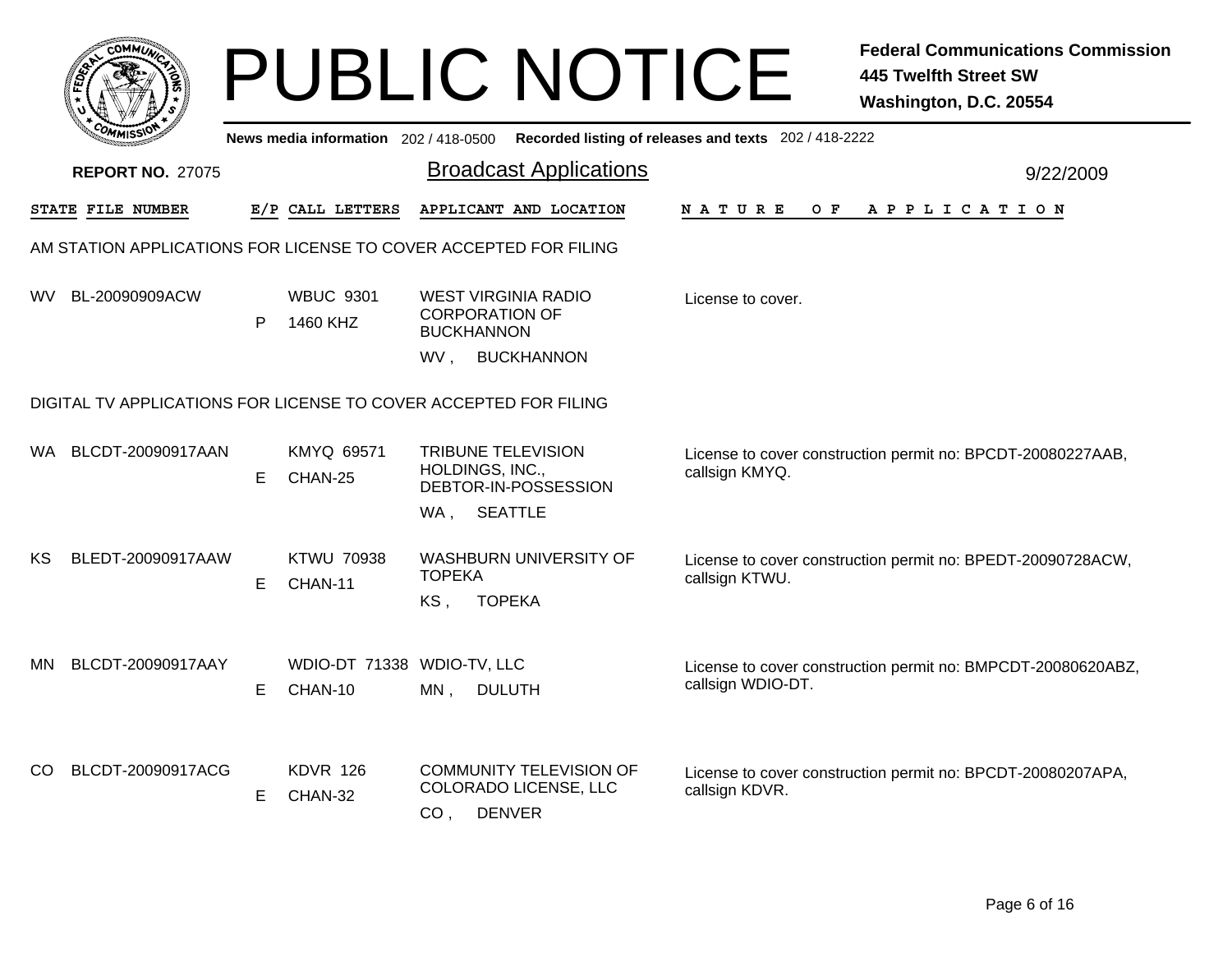|     |                          |    |                                       | <b>PUBLIC NOTICE</b>                                                                                 |                                                       | <b>Federal Communications Commission</b><br><b>445 Twelfth Street SW</b><br>Washington, D.C. 20554 |
|-----|--------------------------|----|---------------------------------------|------------------------------------------------------------------------------------------------------|-------------------------------------------------------|----------------------------------------------------------------------------------------------------|
|     |                          |    | News media information 202 / 418-0500 |                                                                                                      | Recorded listing of releases and texts 202 / 418-2222 |                                                                                                    |
|     | <b>REPORT NO. 27075</b>  |    |                                       | <b>Broadcast Applications</b>                                                                        |                                                       | 9/22/2009                                                                                          |
|     | <b>STATE FILE NUMBER</b> |    | E/P CALL LETTERS                      | APPLICANT AND LOCATION                                                                               | N A T U R E<br>O F                                    | A P P L I C A T I O N                                                                              |
|     |                          |    |                                       | AM STATION APPLICATIONS FOR LICENSE TO COVER ACCEPTED FOR FILING                                     |                                                       |                                                                                                    |
|     | WV BL-20090909ACW        | P  | <b>WBUC 9301</b><br>1460 KHZ          | <b>WEST VIRGINIA RADIO</b><br><b>CORPORATION OF</b><br><b>BUCKHANNON</b><br>WV.<br><b>BUCKHANNON</b> | License to cover.                                     |                                                                                                    |
|     |                          |    |                                       | DIGITAL TV APPLICATIONS FOR LICENSE TO COVER ACCEPTED FOR FILING                                     |                                                       |                                                                                                    |
|     | WA BLCDT-20090917AAN     | Е  | KMYQ 69571<br>CHAN-25                 | <b>TRIBUNE TELEVISION</b><br>HOLDINGS, INC.,<br>DEBTOR-IN-POSSESSION<br>WA, SEATTLE                  | callsign KMYQ.                                        | License to cover construction permit no: BPCDT-20080227AAB,                                        |
| KS. | BLEDT-20090917AAW        | Е  | <b>KTWU 70938</b><br>CHAN-11          | <b>WASHBURN UNIVERSITY OF</b><br><b>TOPEKA</b><br><b>TOPEKA</b><br>KS,                               | callsign KTWU.                                        | License to cover construction permit no: BPEDT-20090728ACW,                                        |
| MN. | BLCDT-20090917AAY        | E  | WDIO-DT 71338 WDIO-TV, LLC<br>CHAN-10 | $MN$ .<br><b>DULUTH</b>                                                                              | callsign WDIO-DT.                                     | License to cover construction permit no: BMPCDT-20080620ABZ,                                       |
| CO. | BLCDT-20090917ACG        | E. | <b>KDVR 126</b><br>CHAN-32            | <b>COMMUNITY TELEVISION OF</b><br>COLORADO LICENSE, LLC<br>CO <sub>1</sub><br><b>DENVER</b>          | callsign KDVR.                                        | License to cover construction permit no: BPCDT-20080207APA,                                        |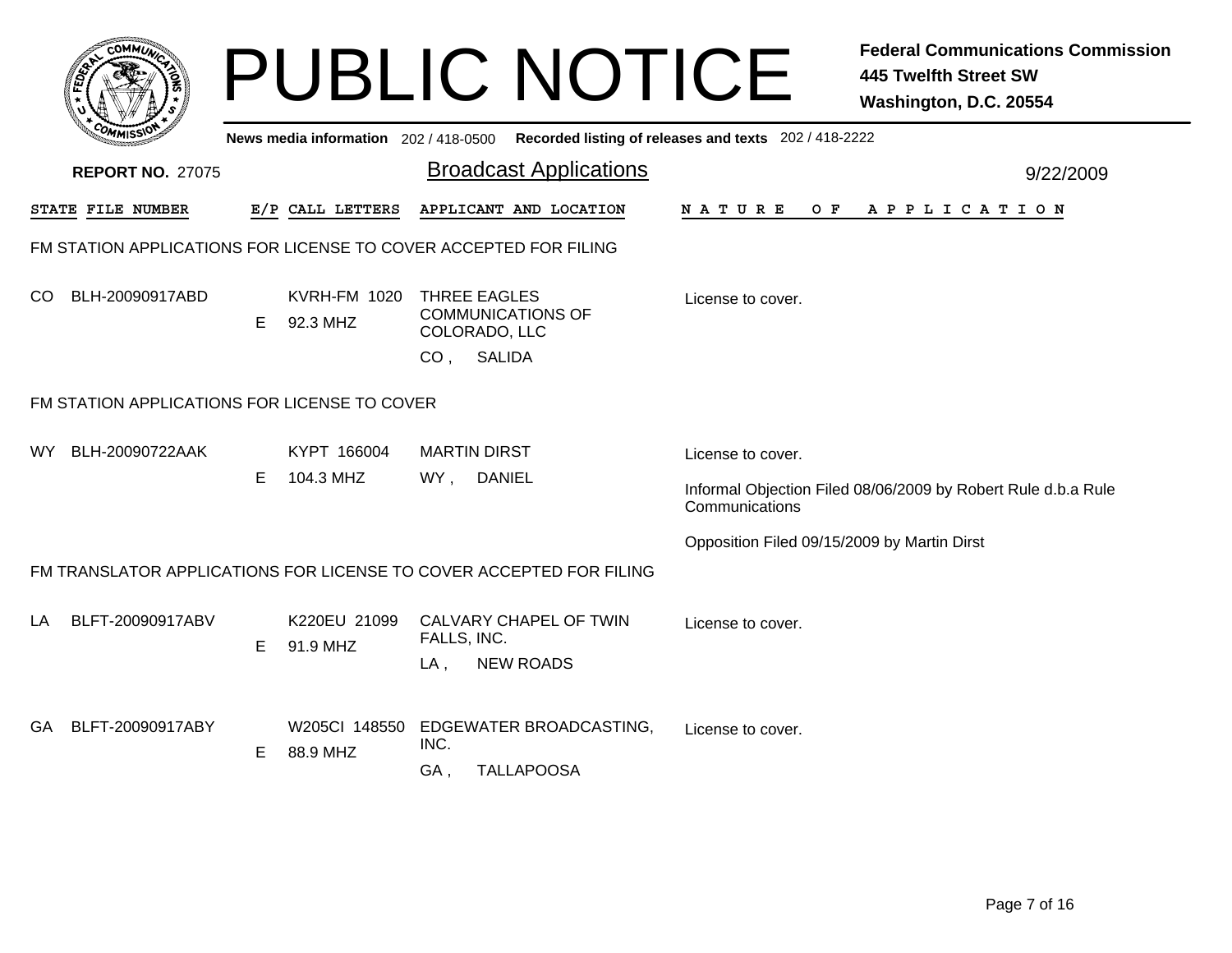|     | <b>OMMIT</b>                                 |    |                                       | <b>PUBLIC NOTICE</b>                                                                          |                                                       | <b>Federal Communications Commission</b><br><b>445 Twelfth Street SW</b><br>Washington, D.C. 20554 |
|-----|----------------------------------------------|----|---------------------------------------|-----------------------------------------------------------------------------------------------|-------------------------------------------------------|----------------------------------------------------------------------------------------------------|
|     |                                              |    | News media information 202 / 418-0500 |                                                                                               | Recorded listing of releases and texts 202 / 418-2222 |                                                                                                    |
|     | <b>REPORT NO. 27075</b>                      |    |                                       | <b>Broadcast Applications</b>                                                                 |                                                       | 9/22/2009                                                                                          |
|     | <b>STATE FILE NUMBER</b>                     |    | E/P CALL LETTERS                      | APPLICANT AND LOCATION                                                                        | N A T U R E<br>O F                                    | A P P L I C A T I O N                                                                              |
|     |                                              |    |                                       | FM STATION APPLICATIONS FOR LICENSE TO COVER ACCEPTED FOR FILING                              |                                                       |                                                                                                    |
| CO  | BLH-20090917ABD                              | E. | <b>KVRH-FM 1020</b><br>92.3 MHZ       | THREE EAGLES<br><b>COMMUNICATIONS OF</b><br>COLORADO, LLC<br><b>SALIDA</b><br>CO <sub>1</sub> | License to cover.                                     |                                                                                                    |
|     | FM STATION APPLICATIONS FOR LICENSE TO COVER |    |                                       |                                                                                               |                                                       |                                                                                                    |
| WY. | BLH-20090722AAK                              | Е  | KYPT 166004<br>104.3 MHZ              | <b>MARTIN DIRST</b><br>WY,<br><b>DANIEL</b>                                                   | License to cover.<br>Communications                   | Informal Objection Filed 08/06/2009 by Robert Rule d.b.a Rule                                      |
|     |                                              |    |                                       | FM TRANSLATOR APPLICATIONS FOR LICENSE TO COVER ACCEPTED FOR FILING                           | Opposition Filed 09/15/2009 by Martin Dirst           |                                                                                                    |
| LA  | BLFT-20090917ABV                             | E. | K220EU 21099<br>91.9 MHZ              | CALVARY CHAPEL OF TWIN<br>FALLS, INC.<br><b>NEW ROADS</b><br>$LA$ ,                           | License to cover.                                     |                                                                                                    |
|     | GA BLFT-20090917ABY                          | Е  | W205CI 148550<br>88.9 MHZ             | EDGEWATER BROADCASTING,<br>INC.<br><b>TALLAPOOSA</b><br>GA,                                   | License to cover.                                     |                                                                                                    |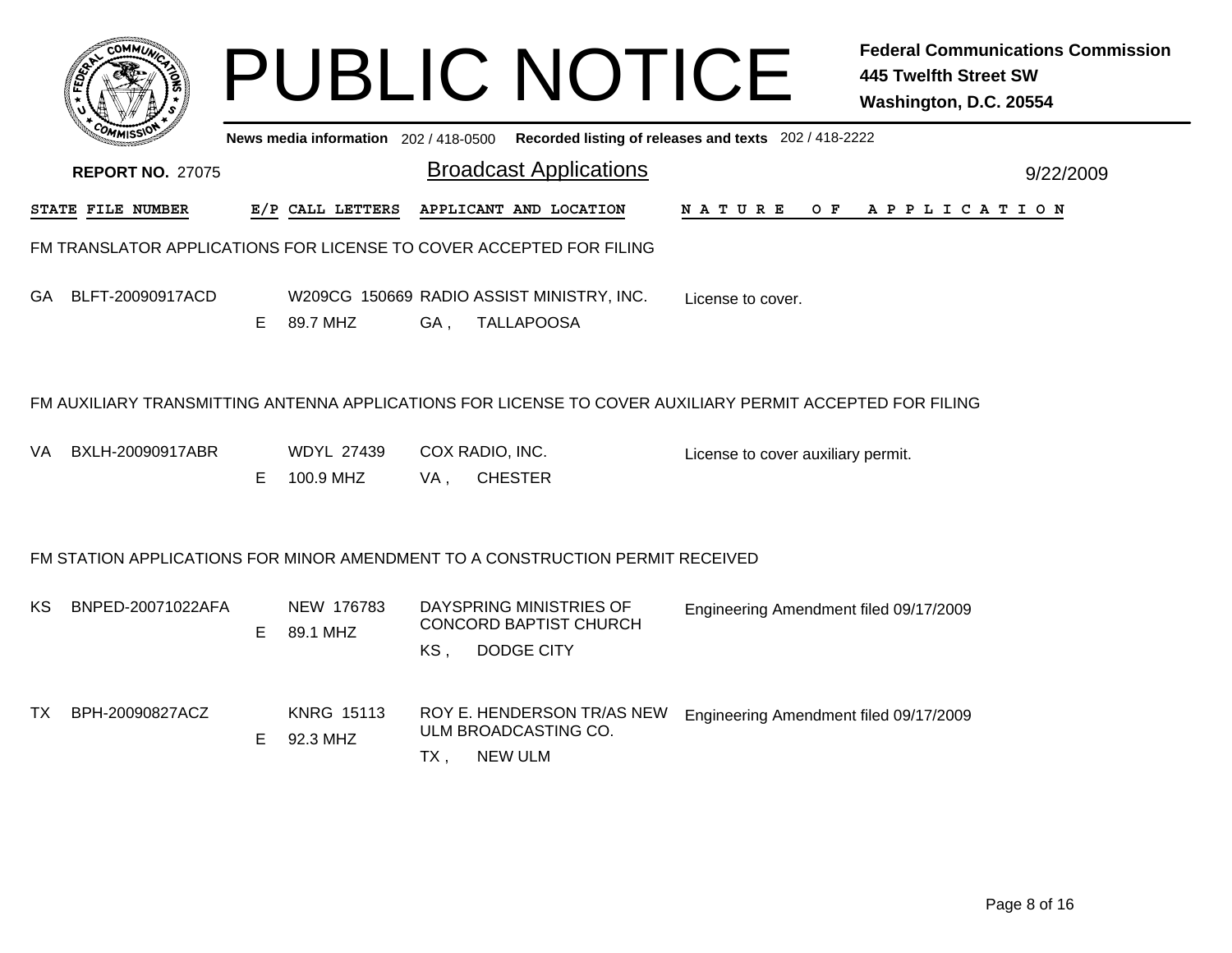|           |                                                                                                          |    |                                |        | <b>PUBLIC NOTICE</b>                                                                        |                                        | <b>Federal Communications Commission</b><br><b>445 Twelfth Street SW</b><br>Washington, D.C. 20554 |  |  |
|-----------|----------------------------------------------------------------------------------------------------------|----|--------------------------------|--------|---------------------------------------------------------------------------------------------|----------------------------------------|----------------------------------------------------------------------------------------------------|--|--|
|           |                                                                                                          |    |                                |        | News media information 202 / 418-0500 Recorded listing of releases and texts 202 / 418-2222 |                                        |                                                                                                    |  |  |
|           | <b>REPORT NO. 27075</b>                                                                                  |    |                                |        | <b>Broadcast Applications</b>                                                               |                                        | 9/22/2009                                                                                          |  |  |
|           | STATE FILE NUMBER                                                                                        |    | E/P CALL LETTERS               |        | APPLICANT AND LOCATION                                                                      | N A T U R E                            | OF APPLICATION                                                                                     |  |  |
|           |                                                                                                          |    |                                |        | FM TRANSLATOR APPLICATIONS FOR LICENSE TO COVER ACCEPTED FOR FILING                         |                                        |                                                                                                    |  |  |
| GA        | BLFT-20090917ACD                                                                                         | E. | 89.7 MHZ                       | GA,    | W209CG 150669 RADIO ASSIST MINISTRY, INC.<br><b>TALLAPOOSA</b>                              | License to cover.                      |                                                                                                    |  |  |
|           | FM AUXILIARY TRANSMITTING ANTENNA APPLICATIONS FOR LICENSE TO COVER AUXILIARY PERMIT ACCEPTED FOR FILING |    |                                |        |                                                                                             |                                        |                                                                                                    |  |  |
| VA        | BXLH-20090917ABR                                                                                         | E. | <b>WDYL 27439</b><br>100.9 MHZ | VA.    | COX RADIO, INC.<br><b>CHESTER</b>                                                           | License to cover auxiliary permit.     |                                                                                                    |  |  |
|           |                                                                                                          |    |                                |        | FM STATION APPLICATIONS FOR MINOR AMENDMENT TO A CONSTRUCTION PERMIT RECEIVED               |                                        |                                                                                                    |  |  |
| KS.       | BNPED-20071022AFA                                                                                        | E. | NEW 176783<br>89.1 MHZ         | KS,    | DAYSPRING MINISTRIES OF<br><b>CONCORD BAPTIST CHURCH</b><br>DODGE CITY                      | Engineering Amendment filed 09/17/2009 |                                                                                                    |  |  |
| <b>TX</b> | BPH-20090827ACZ                                                                                          | E  | <b>KNRG 15113</b><br>92.3 MHZ  | $TX$ , | ROY E. HENDERSON TR/AS NEW<br>ULM BROADCASTING CO.<br><b>NEW ULM</b>                        | Engineering Amendment filed 09/17/2009 |                                                                                                    |  |  |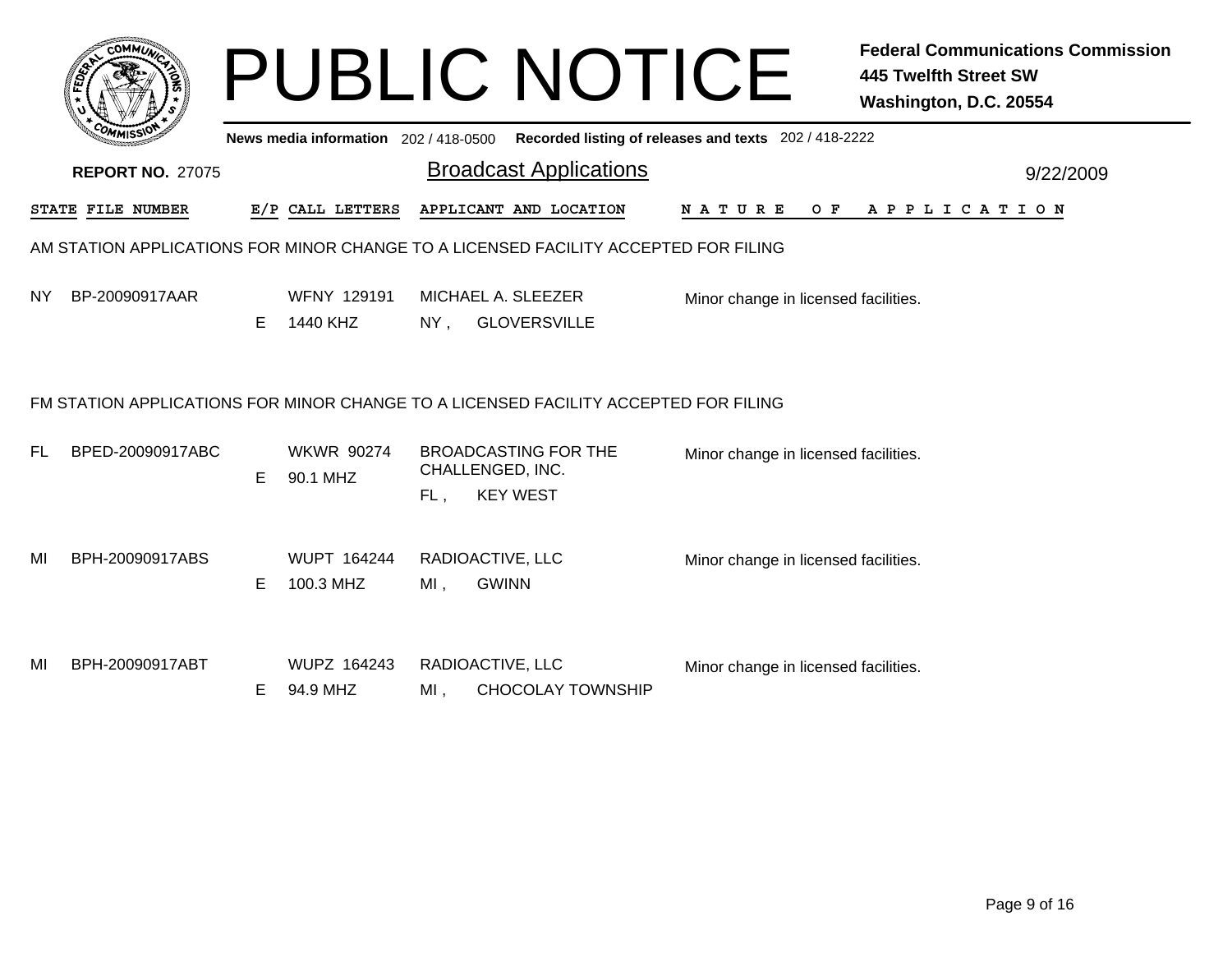| <b>AMUNT</b><br>CO.<br>¢ |  |
|--------------------------|--|
| c<br>۰<br>FEDET<br>ř,    |  |
|                          |  |
| $c_{O}$<br><b>MISS</b>   |  |
| $\sim$                   |  |

## PUBLIC NOTICE **Federal Communications Commission 445 Twelfth Street SW Washington, D.C. 20554**

|     | <b>COMMISSION</b>                                                                   |    | News media information 202 / 418-0500 |        |                                                                    | Recorded listing of releases and texts 202 / 418-2222 |  |  |  |
|-----|-------------------------------------------------------------------------------------|----|---------------------------------------|--------|--------------------------------------------------------------------|-------------------------------------------------------|--|--|--|
|     | <b>Broadcast Applications</b><br><b>REPORT NO. 27075</b><br>9/22/2009               |    |                                       |        |                                                                    |                                                       |  |  |  |
|     | STATE FILE NUMBER                                                                   |    | E/P CALL LETTERS                      |        | APPLICANT AND LOCATION                                             | <b>NATURE</b><br>A P P L I C A T I O N<br>O F         |  |  |  |
|     | AM STATION APPLICATIONS FOR MINOR CHANGE TO A LICENSED FACILITY ACCEPTED FOR FILING |    |                                       |        |                                                                    |                                                       |  |  |  |
| NY. | BP-20090917AAR                                                                      | E. | WFNY 129191<br>1440 KHZ               | $NY$ , | MICHAEL A. SLEEZER<br><b>GLOVERSVILLE</b>                          | Minor change in licensed facilities.                  |  |  |  |
|     | FM STATION APPLICATIONS FOR MINOR CHANGE TO A LICENSED FACILITY ACCEPTED FOR FILING |    |                                       |        |                                                                    |                                                       |  |  |  |
| FL. | BPED-20090917ABC                                                                    | E. | <b>WKWR 90274</b><br>90.1 MHZ         | FL,    | <b>BROADCASTING FOR THE</b><br>CHALLENGED, INC.<br><b>KEY WEST</b> | Minor change in licensed facilities.                  |  |  |  |
| MI  | BPH-20090917ABS                                                                     | Е  | <b>WUPT 164244</b><br>100.3 MHZ       | MI,    | RADIOACTIVE, LLC<br><b>GWINN</b>                                   | Minor change in licensed facilities.                  |  |  |  |
| MI  | BPH-20090917ABT                                                                     | E. | WUPZ 164243<br>94.9 MHZ               | MI,    | RADIOACTIVE, LLC<br><b>CHOCOLAY TOWNSHIP</b>                       | Minor change in licensed facilities.                  |  |  |  |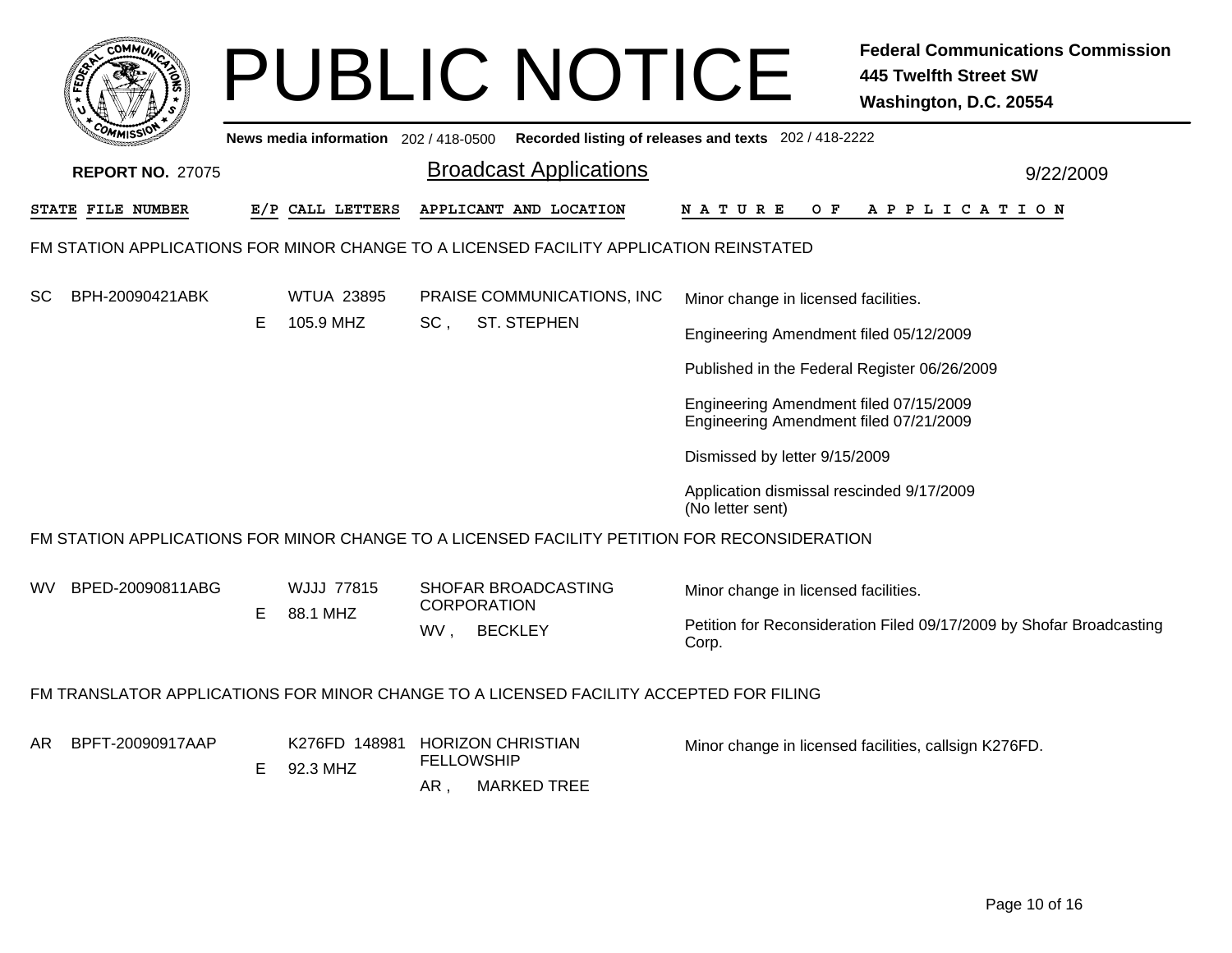| <b>COMMI</b>                                                                                 |   |                                     |                   | <b>PUBLIC NOTICE</b>                      |                                                                                  | <b>Federal Communications Commission</b><br><b>445 Twelfth Street SW</b><br>Washington, D.C. 20554 |
|----------------------------------------------------------------------------------------------|---|-------------------------------------|-------------------|-------------------------------------------|----------------------------------------------------------------------------------|----------------------------------------------------------------------------------------------------|
|                                                                                              |   | News media information 202/418-0500 |                   |                                           | Recorded listing of releases and texts 202 / 418-2222                            |                                                                                                    |
| <b>REPORT NO. 27075</b>                                                                      |   |                                     |                   | <b>Broadcast Applications</b>             |                                                                                  | 9/22/2009                                                                                          |
| STATE FILE NUMBER                                                                            |   | E/P CALL LETTERS                    |                   | APPLICANT AND LOCATION                    | N A T U R E<br>O F                                                               | A P P L I C A T I O N                                                                              |
| FM STATION APPLICATIONS FOR MINOR CHANGE TO A LICENSED FACILITY APPLICATION REINSTATED       |   |                                     |                   |                                           |                                                                                  |                                                                                                    |
| BPH-20090421ABK<br>SC                                                                        |   | <b>WTUA 23895</b><br>105.9 MHZ      | SC,               | PRAISE COMMUNICATIONS, INC                | Minor change in licensed facilities.                                             |                                                                                                    |
|                                                                                              | Е |                                     |                   | <b>ST. STEPHEN</b>                        | Engineering Amendment filed 05/12/2009                                           |                                                                                                    |
|                                                                                              |   |                                     |                   |                                           | Published in the Federal Register 06/26/2009                                     |                                                                                                    |
|                                                                                              |   |                                     |                   |                                           | Engineering Amendment filed 07/15/2009<br>Engineering Amendment filed 07/21/2009 |                                                                                                    |
|                                                                                              |   |                                     |                   |                                           | Dismissed by letter 9/15/2009                                                    |                                                                                                    |
|                                                                                              |   |                                     |                   |                                           | Application dismissal rescinded 9/17/2009<br>(No letter sent)                    |                                                                                                    |
| FM STATION APPLICATIONS FOR MINOR CHANGE TO A LICENSED FACILITY PETITION FOR RECONSIDERATION |   |                                     |                   |                                           |                                                                                  |                                                                                                    |
| BPED-20090811ABG<br>WV.                                                                      | Е | <b>WJJJ 77815</b><br>88.1 MHZ       |                   | SHOFAR BROADCASTING<br><b>CORPORATION</b> | Minor change in licensed facilities.                                             |                                                                                                    |
|                                                                                              |   |                                     | WV,               | <b>BECKLEY</b>                            | Corp.                                                                            | Petition for Reconsideration Filed 09/17/2009 by Shofar Broadcasting                               |
| FM TRANSLATOR APPLICATIONS FOR MINOR CHANGE TO A LICENSED FACILITY ACCEPTED FOR FILING       |   |                                     |                   |                                           |                                                                                  |                                                                                                    |
| BPFT-20090917AAP<br>AR.                                                                      |   | K276FD 148981                       | <b>FELLOWSHIP</b> | <b>HORIZON CHRISTIAN</b>                  |                                                                                  | Minor change in licensed facilities, callsign K276FD.                                              |
|                                                                                              | E | 92.3 MHZ                            | AR,               | <b>MARKED TREE</b>                        |                                                                                  |                                                                                                    |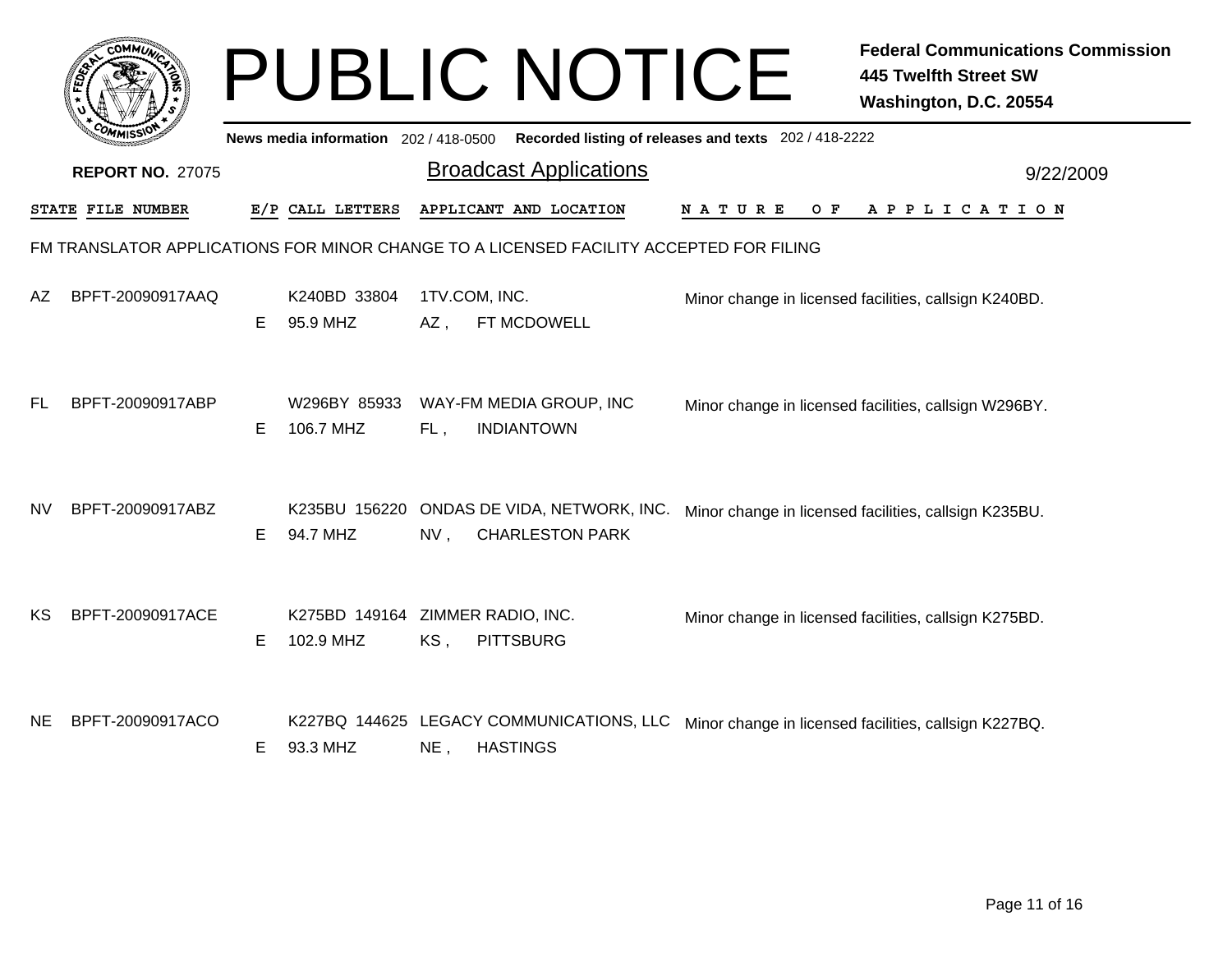|           | <b>COMMUT</b>           |    |                                               |        | <b>PUBLIC NOTICE</b>                                                                   |                                                       | <b>Federal Communications Commission</b><br><b>445 Twelfth Street SW</b><br>Washington, D.C. 20554 |
|-----------|-------------------------|----|-----------------------------------------------|--------|----------------------------------------------------------------------------------------|-------------------------------------------------------|----------------------------------------------------------------------------------------------------|
|           |                         |    | News media information 202 / 418-0500         |        |                                                                                        | Recorded listing of releases and texts 202 / 418-2222 |                                                                                                    |
|           | <b>REPORT NO. 27075</b> |    |                                               |        | <b>Broadcast Applications</b>                                                          |                                                       | 9/22/2009                                                                                          |
|           | STATE FILE NUMBER       |    | E/P CALL LETTERS                              |        | APPLICANT AND LOCATION                                                                 | O F<br>N A T U R E                                    | A P P L I C A T I O N                                                                              |
|           |                         |    |                                               |        | FM TRANSLATOR APPLICATIONS FOR MINOR CHANGE TO A LICENSED FACILITY ACCEPTED FOR FILING |                                                       |                                                                                                    |
| AΖ        | BPFT-20090917AAQ        | E. | K240BD 33804<br>95.9 MHZ                      | AZ,    | 1TV.COM, INC.<br>FT MCDOWELL                                                           |                                                       | Minor change in licensed facilities, callsign K240BD.                                              |
| FL.       | BPFT-20090917ABP        | E. | W296BY 85933<br>106.7 MHZ                     | FL,    | WAY-FM MEDIA GROUP, INC<br><b>INDIANTOWN</b>                                           |                                                       | Minor change in licensed facilities, callsign W296BY.                                              |
| <b>NV</b> | BPFT-20090917ABZ        | E. | 94.7 MHZ                                      | NV,    | K235BU 156220 ONDAS DE VIDA, NETWORK, INC.<br><b>CHARLESTON PARK</b>                   |                                                       | Minor change in licensed facilities, callsign K235BU.                                              |
| KS.       | BPFT-20090917ACE        | E. | K275BD 149164 ZIMMER RADIO, INC.<br>102.9 MHZ | KS,    | <b>PITTSBURG</b>                                                                       |                                                       | Minor change in licensed facilities, callsign K275BD.                                              |
| NE.       | BPFT-20090917ACO        | E. | 93.3 MHZ                                      | $NE$ , | K227BQ 144625 LEGACY COMMUNICATIONS, LLC<br><b>HASTINGS</b>                            |                                                       | Minor change in licensed facilities, callsign K227BQ.                                              |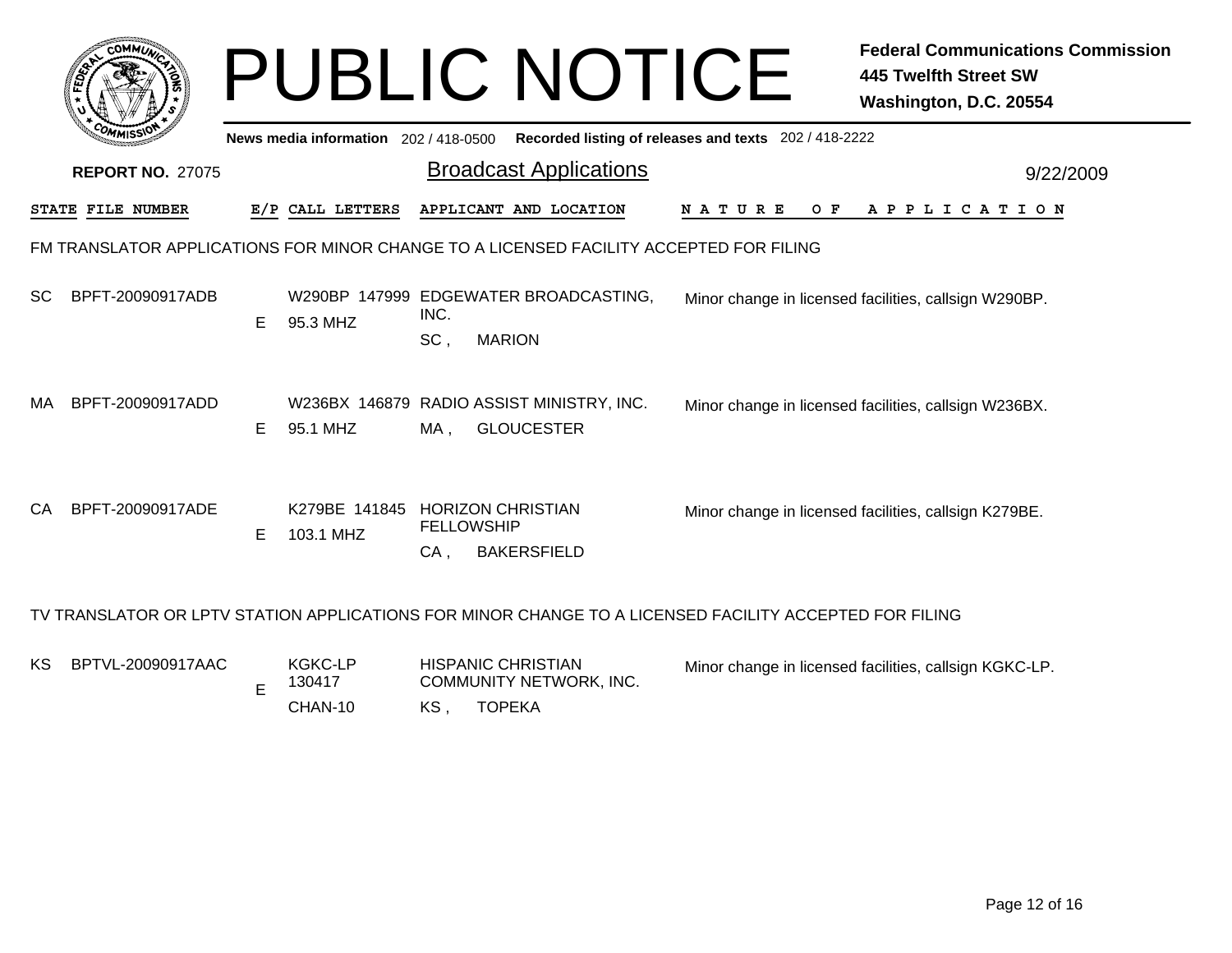|           |                                                                                                        |    |                                              |                           | <b>PUBLIC NOTICE</b>                                           |               |     | <b>Federal Communications Commission</b><br><b>445 Twelfth Street SW</b><br>Washington, D.C. 20554 |           |
|-----------|--------------------------------------------------------------------------------------------------------|----|----------------------------------------------|---------------------------|----------------------------------------------------------------|---------------|-----|----------------------------------------------------------------------------------------------------|-----------|
|           |                                                                                                        |    | News media information 202/418-0500          |                           | Recorded listing of releases and texts 202 / 418-2222          |               |     |                                                                                                    |           |
|           | <b>REPORT NO. 27075</b>                                                                                |    |                                              |                           | <b>Broadcast Applications</b>                                  |               |     |                                                                                                    | 9/22/2009 |
|           | STATE FILE NUMBER                                                                                      |    | E/P CALL LETTERS                             |                           | APPLICANT AND LOCATION                                         | <b>NATURE</b> | O F | A P P L I C A T I O N                                                                              |           |
|           | FM TRANSLATOR APPLICATIONS FOR MINOR CHANGE TO A LICENSED FACILITY ACCEPTED FOR FILING                 |    |                                              |                           |                                                                |               |     |                                                                                                    |           |
| <b>SC</b> | BPFT-20090917ADB                                                                                       | E. | 95.3 MHZ                                     | INC.<br>SC,               | W290BP 147999 EDGEWATER BROADCASTING,<br><b>MARION</b>         |               |     | Minor change in licensed facilities, callsign W290BP.                                              |           |
| MA.       | BPFT-20090917ADD                                                                                       | E. | 95.1 MHZ                                     | MA,                       | W236BX 146879 RADIO ASSIST MINISTRY, INC.<br><b>GLOUCESTER</b> |               |     | Minor change in licensed facilities, callsign W236BX.                                              |           |
| CA        | BPFT-20090917ADE                                                                                       | E. | K279BE 141845 HORIZON CHRISTIAN<br>103.1 MHZ | <b>FELLOWSHIP</b><br>CA,  | <b>BAKERSFIELD</b>                                             |               |     | Minor change in licensed facilities, callsign K279BE.                                              |           |
|           | TV TRANSLATOR OR LPTV STATION APPLICATIONS FOR MINOR CHANGE TO A LICENSED FACILITY ACCEPTED FOR FILING |    |                                              |                           |                                                                |               |     |                                                                                                    |           |
| ΚS        | BPTVL-20090917AAC                                                                                      | E  | <b>KGKC-LP</b><br>130417                     | <b>HISPANIC CHRISTIAN</b> | COMMUNITY NETWORK, INC.                                        |               |     | Minor change in licensed facilities, callsign KGKC-LP.                                             |           |

KS , TOPEKA

CHAN-10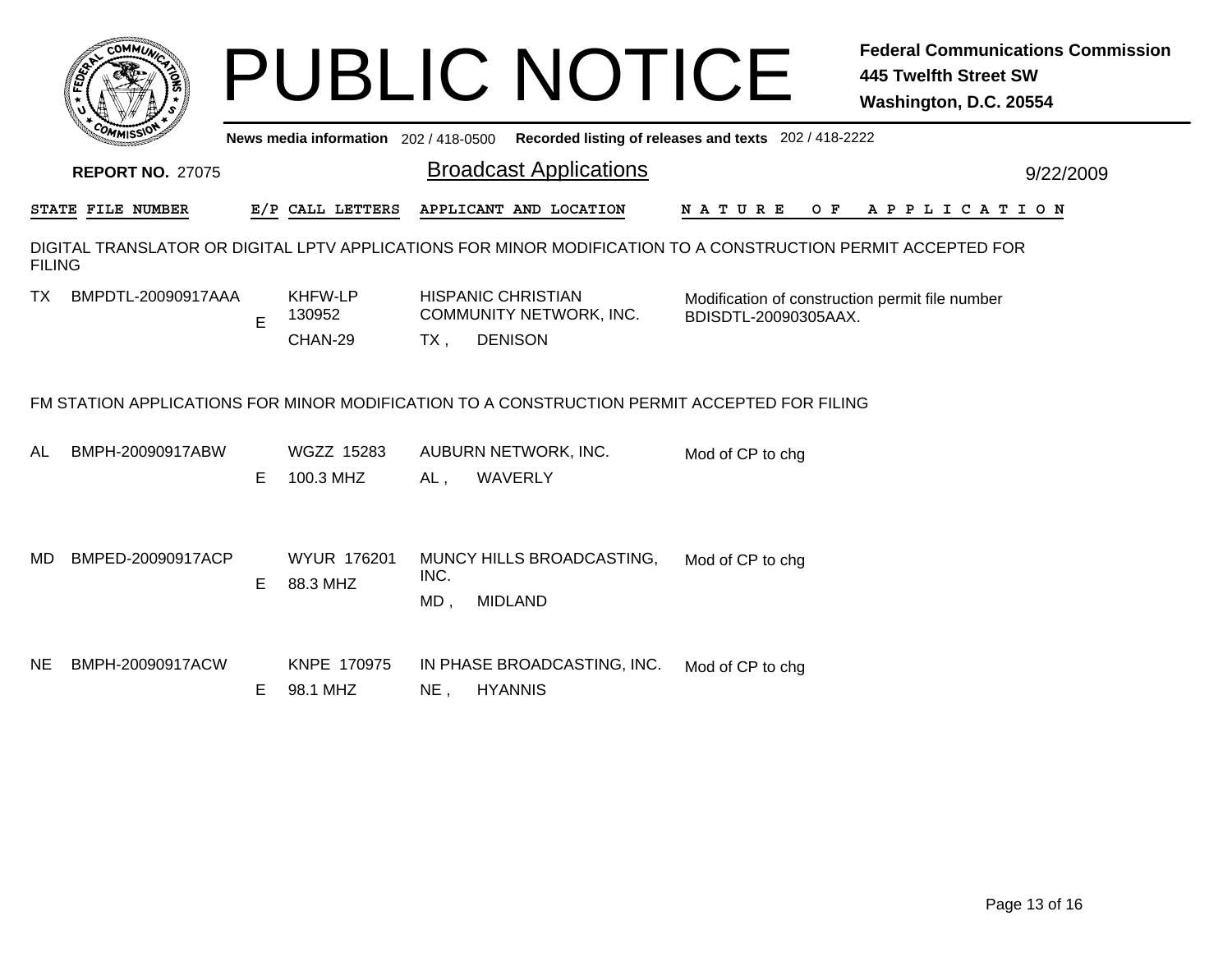|                                                                                                                               | COMMUL                                                                                      |    |                                       |                | <b>PUBLIC NOTICE</b>                                                   |                                                                         | <b>Federal Communications Commission</b><br><b>445 Twelfth Street SW</b><br>Washington, D.C. 20554 |  |  |
|-------------------------------------------------------------------------------------------------------------------------------|---------------------------------------------------------------------------------------------|----|---------------------------------------|----------------|------------------------------------------------------------------------|-------------------------------------------------------------------------|----------------------------------------------------------------------------------------------------|--|--|
|                                                                                                                               |                                                                                             |    | News media information 202 / 418-0500 |                |                                                                        | Recorded listing of releases and texts 202 / 418-2222                   |                                                                                                    |  |  |
|                                                                                                                               | <b>REPORT NO. 27075</b>                                                                     |    |                                       |                | <b>Broadcast Applications</b>                                          |                                                                         | 9/22/2009                                                                                          |  |  |
|                                                                                                                               | STATE FILE NUMBER                                                                           |    | E/P CALL LETTERS                      |                | APPLICANT AND LOCATION                                                 | O F<br>N A T U R E                                                      | A P P L I C A T I O N                                                                              |  |  |
| DIGITAL TRANSLATOR OR DIGITAL LPTV APPLICATIONS FOR MINOR MODIFICATION TO A CONSTRUCTION PERMIT ACCEPTED FOR<br><b>FILING</b> |                                                                                             |    |                                       |                |                                                                        |                                                                         |                                                                                                    |  |  |
| ТX                                                                                                                            | BMPDTL-20090917AAA                                                                          | E  | KHFW-LP<br>130952<br>CHAN-29          | $TX$ ,         | <b>HISPANIC CHRISTIAN</b><br>COMMUNITY NETWORK, INC.<br><b>DENISON</b> | Modification of construction permit file number<br>BDISDTL-20090305AAX. |                                                                                                    |  |  |
|                                                                                                                               | FM STATION APPLICATIONS FOR MINOR MODIFICATION TO A CONSTRUCTION PERMIT ACCEPTED FOR FILING |    |                                       |                |                                                                        |                                                                         |                                                                                                    |  |  |
| AL                                                                                                                            | BMPH-20090917ABW                                                                            | E. | WGZZ 15283<br>100.3 MHZ               | AL,            | AUBURN NETWORK, INC.<br>WAVERLY                                        | Mod of CP to chg                                                        |                                                                                                    |  |  |
| MD                                                                                                                            | BMPED-20090917ACP                                                                           | Е  | <b>WYUR 176201</b><br>88.3 MHZ        | INC.<br>$MD$ , | MUNCY HILLS BROADCASTING,<br><b>MIDLAND</b>                            | Mod of CP to chg                                                        |                                                                                                    |  |  |
| NE.                                                                                                                           | BMPH-20090917ACW                                                                            | E. | KNPE 170975<br>98.1 MHZ               | NE,            | IN PHASE BROADCASTING, INC.<br><b>HYANNIS</b>                          | Mod of CP to chg                                                        |                                                                                                    |  |  |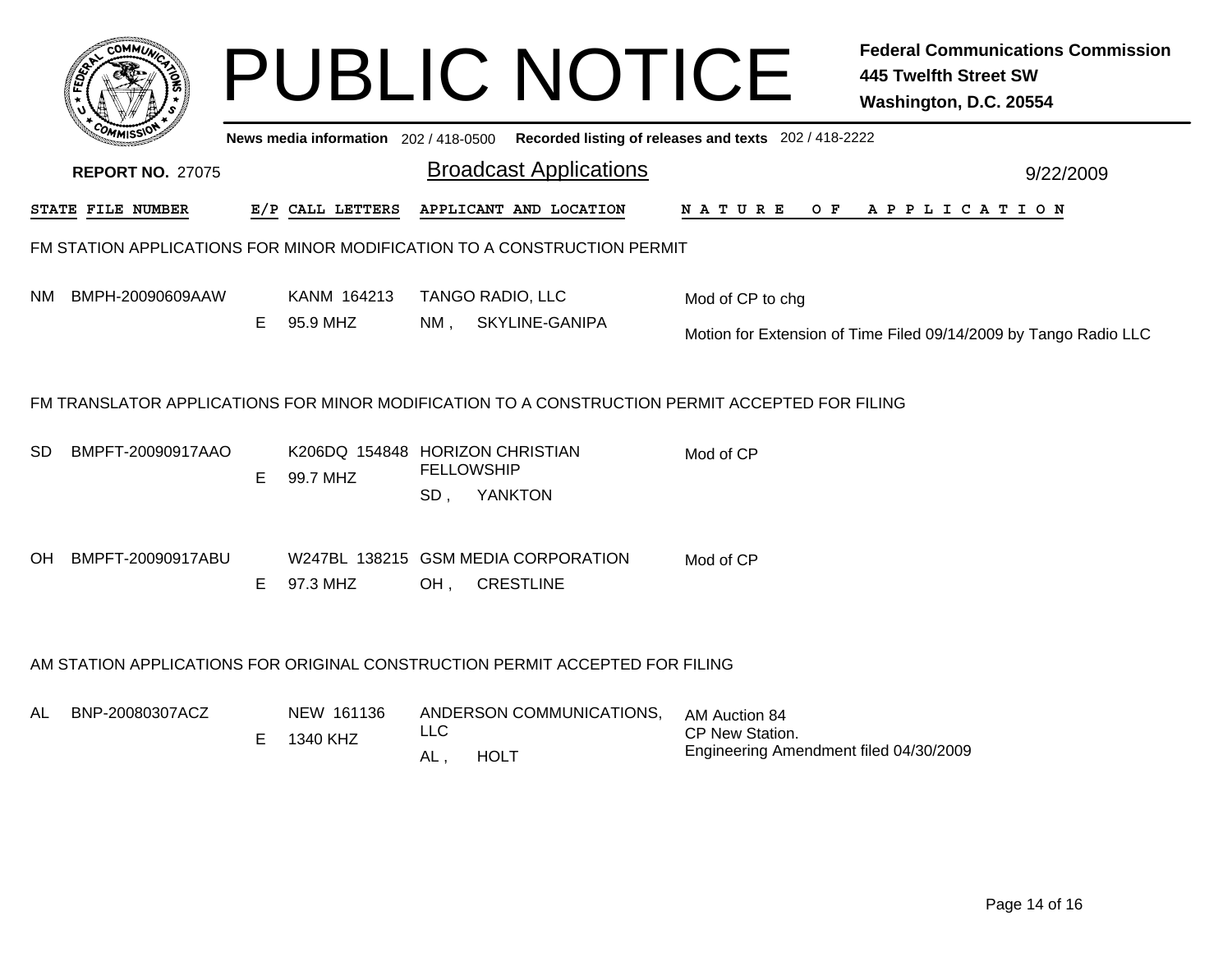|                                                                              |                                                                                                |    |                                       | <b>PUBLIC NOTICE</b>                                                   | <b>Federal Communications Commission</b><br><b>445 Twelfth Street SW</b><br>Washington, D.C. 20554 |  |  |  |  |  |
|------------------------------------------------------------------------------|------------------------------------------------------------------------------------------------|----|---------------------------------------|------------------------------------------------------------------------|----------------------------------------------------------------------------------------------------|--|--|--|--|--|
|                                                                              |                                                                                                |    | News media information 202 / 418-0500 |                                                                        | Recorded listing of releases and texts 202 / 418-2222                                              |  |  |  |  |  |
|                                                                              | <b>REPORT NO. 27075</b>                                                                        |    |                                       | <b>Broadcast Applications</b>                                          | 9/22/2009                                                                                          |  |  |  |  |  |
|                                                                              | STATE FILE NUMBER                                                                              |    | E/P CALL LETTERS                      | APPLICANT AND LOCATION                                                 | N A T U R E<br>O F<br>APPLICATION                                                                  |  |  |  |  |  |
|                                                                              | FM STATION APPLICATIONS FOR MINOR MODIFICATION TO A CONSTRUCTION PERMIT                        |    |                                       |                                                                        |                                                                                                    |  |  |  |  |  |
| NM.                                                                          | BMPH-20090609AAW                                                                               |    | KANM 164213<br>95.9 MHZ               | <b>TANGO RADIO, LLC</b><br>$NM$ ,<br>SKYLINE-GANIPA                    | Mod of CP to chg                                                                                   |  |  |  |  |  |
|                                                                              |                                                                                                | E. |                                       |                                                                        | Motion for Extension of Time Filed 09/14/2009 by Tango Radio LLC                                   |  |  |  |  |  |
|                                                                              | FM TRANSLATOR APPLICATIONS FOR MINOR MODIFICATION TO A CONSTRUCTION PERMIT ACCEPTED FOR FILING |    |                                       |                                                                        |                                                                                                    |  |  |  |  |  |
| SD.                                                                          | BMPFT-20090917AAO                                                                              | E. | 99.7 MHZ                              | K206DQ 154848 HORIZON CHRISTIAN<br><b>FELLOWSHIP</b><br>YANKTON<br>SD, | Mod of CP                                                                                          |  |  |  |  |  |
| OH.                                                                          | BMPFT-20090917ABU                                                                              | E. | 97.3 MHZ                              | W247BL 138215 GSM MEDIA CORPORATION<br><b>CRESTLINE</b><br>OH,         | Mod of CP                                                                                          |  |  |  |  |  |
| AM STATION APPLICATIONS FOR ORIGINAL CONSTRUCTION PERMIT ACCEPTED FOR FILING |                                                                                                |    |                                       |                                                                        |                                                                                                    |  |  |  |  |  |
| AL                                                                           | BNP-20080307ACZ                                                                                | Е  | NEW 161136<br>1340 KHZ                | ANDERSON COMMUNICATIONS.<br><b>LLC</b><br>AL,<br><b>HOLT</b>           | AM Auction 84<br>CP New Station.<br>Engineering Amendment filed 04/30/2009                         |  |  |  |  |  |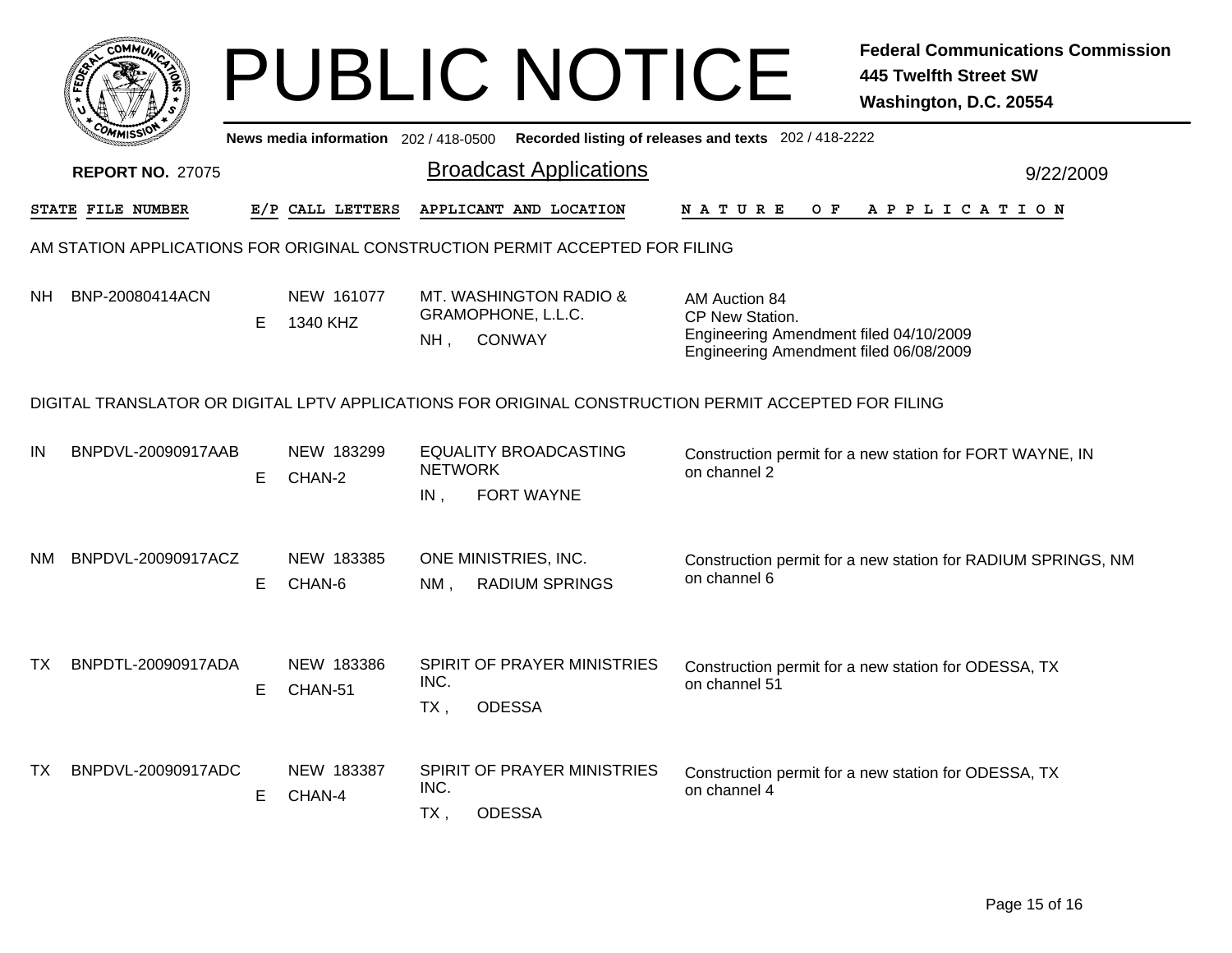|                                                                                                      |                         |    |                                     | <b>PUBLIC NOTICE</b>                                                             | <b>Federal Communications Commission</b><br><b>445 Twelfth Street SW</b><br>Washington, D.C. 20554                   |  |  |  |  |
|------------------------------------------------------------------------------------------------------|-------------------------|----|-------------------------------------|----------------------------------------------------------------------------------|----------------------------------------------------------------------------------------------------------------------|--|--|--|--|
|                                                                                                      |                         |    | News media information 202/418-0500 |                                                                                  | Recorded listing of releases and texts 202 / 418-2222                                                                |  |  |  |  |
|                                                                                                      | <b>REPORT NO. 27075</b> |    |                                     | <b>Broadcast Applications</b>                                                    | 9/22/2009                                                                                                            |  |  |  |  |
|                                                                                                      | STATE FILE NUMBER       |    | E/P CALL LETTERS                    | APPLICANT AND LOCATION                                                           | N A T U R E<br>O F<br>A P P L I C A T I O N                                                                          |  |  |  |  |
| AM STATION APPLICATIONS FOR ORIGINAL CONSTRUCTION PERMIT ACCEPTED FOR FILING                         |                         |    |                                     |                                                                                  |                                                                                                                      |  |  |  |  |
| NH.                                                                                                  | BNP-20080414ACN         | E  | NEW 161077<br>1340 KHZ              | MT. WASHINGTON RADIO &<br>GRAMOPHONE, L.L.C.<br><b>CONWAY</b><br>NH <sub>1</sub> | AM Auction 84<br>CP New Station.<br>Engineering Amendment filed 04/10/2009<br>Engineering Amendment filed 06/08/2009 |  |  |  |  |
| DIGITAL TRANSLATOR OR DIGITAL LPTV APPLICATIONS FOR ORIGINAL CONSTRUCTION PERMIT ACCEPTED FOR FILING |                         |    |                                     |                                                                                  |                                                                                                                      |  |  |  |  |
| IN                                                                                                   | BNPDVL-20090917AAB      | E. | NEW 183299<br>CHAN-2                | <b>EQUALITY BROADCASTING</b><br><b>NETWORK</b>                                   | Construction permit for a new station for FORT WAYNE, IN<br>on channel 2                                             |  |  |  |  |
| NM.                                                                                                  | BNPDVL-20090917ACZ      | E  | NEW 183385<br>CHAN-6                | <b>FORT WAYNE</b><br>IN,<br>ONE MINISTRIES, INC.                                 | Construction permit for a new station for RADIUM SPRINGS, NM<br>on channel 6                                         |  |  |  |  |
|                                                                                                      |                         |    |                                     | NM.<br>RADIUM SPRINGS                                                            |                                                                                                                      |  |  |  |  |
| TX.                                                                                                  | BNPDTL-20090917ADA      | E  | NEW 183386<br>CHAN-51               | SPIRIT OF PRAYER MINISTRIES<br>INC.<br>$TX$ ,<br><b>ODESSA</b>                   | Construction permit for a new station for ODESSA, TX<br>on channel 51                                                |  |  |  |  |
| TX.                                                                                                  | BNPDVL-20090917ADC      | E  | NEW 183387<br>CHAN-4                | SPIRIT OF PRAYER MINISTRIES<br>INC.<br>$TX$ ,<br><b>ODESSA</b>                   | Construction permit for a new station for ODESSA, TX<br>on channel 4                                                 |  |  |  |  |